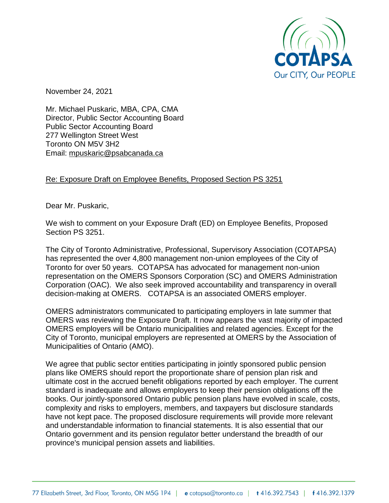

November 24, 2021

Mr. Michael Puskaric, MBA, CPA, CMA Director, Public Sector Accounting Board Public Sector Accounting Board 277 Wellington Street West Toronto ON M5V 3H2 Email: [mpuskaric@psabcanada.ca](mailto:mpuskaric@psabcanada.ca)

## Re: Exposure Draft on Employee Benefits, Proposed Section PS 3251

Dear Mr. Puskaric,

We wish to comment on your Exposure Draft (ED) on Employee Benefits, Proposed Section PS 3251.

The City of Toronto Administrative, Professional, Supervisory Association (COTAPSA) has represented the over 4,800 management non-union employees of the City of Toronto for over 50 years. COTAPSA has advocated for management non-union representation on the OMERS Sponsors Corporation (SC) and OMERS Administration Corporation (OAC). We also seek improved accountability and transparency in overall decision-making at OMERS. COTAPSA is an associated OMERS employer.

OMERS administrators communicated to participating employers in late summer that OMERS was reviewing the Exposure Draft. It now appears the vast majority of impacted OMERS employers will be Ontario municipalities and related agencies. Except for the City of Toronto, municipal employers are represented at OMERS by the Association of Municipalities of Ontario (AMO).

We agree that public sector entities participating in jointly sponsored public pension plans like OMERS should report the proportionate share of pension plan risk and ultimate cost in the accrued benefit obligations reported by each employer. The current standard is inadequate and allows employers to keep their pension obligations off the books. Our jointly-sponsored Ontario public pension plans have evolved in scale, costs, complexity and risks to employers, members, and taxpayers but disclosure standards have not kept pace. The proposed disclosure requirements will provide more relevant and understandable information to financial statements. It is also essential that our Ontario government and its pension regulator better understand the breadth of our province's municipal pension assets and liabilities.